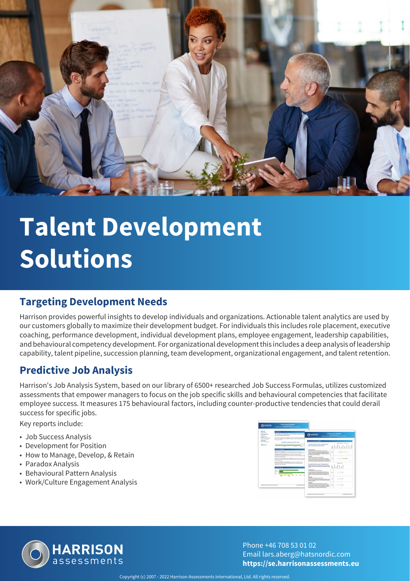

# **Talent Development Solutions**

#### **Targeting Development Needs**

Harrison provides powerful insights to develop individuals and organizations. Actionable talent analytics are used by our customers globally to maximize their development budget. For individuals this includes role placement, executive coaching, performance development, individual development plans, employee engagement, leadership capabilities, and behavioural competency development. For organizational development this includes a deep analysis of leadership capability, talent pipeline, succession planning, team development, organizational engagement, and talent retention.

#### **Predictive Job Analysis**

Harrison's Job Analysis System, based on our library of 6500+ researched Job Success Formulas, utilizes customized assessments that empower managers to focus on the job specific skills and behavioural competencies that facilitate employee success. It measures 175 behavioural factors, including counter-productive tendencies that could derail success for specific jobs.

Key reports include:

- Job Success Analysis
- Development for Position
- How to Manage, Develop, & Retain
- Paradox Analysis
- Behavioural Pattern Analysis
- Work/Culture Engagement Analysis





Phone +46 708 53 01 02 Email lars.aberg@hatsnordic.com **https://se.harrisonassessments.eu**